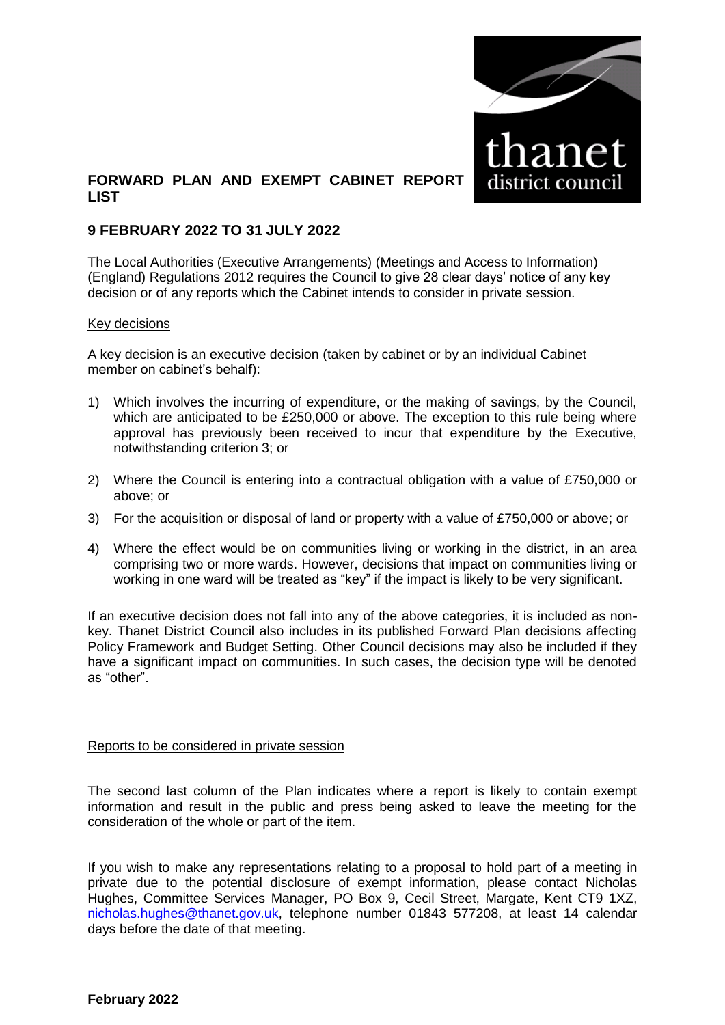

## **FORWARD PLAN AND EXEMPT CABINET REPORT LIST**

### **9 FEBRUARY 2022 TO 31 JULY 2022**

The Local Authorities (Executive Arrangements) (Meetings and Access to Information) (England) Regulations 2012 requires the Council to give 28 clear days' notice of any key decision or of any reports which the Cabinet intends to consider in private session.

#### Key decisions

A key decision is an executive decision (taken by cabinet or by an individual Cabinet member on cabinet's behalf):

- 1) Which involves the incurring of expenditure, or the making of savings, by the Council, which are anticipated to be £250,000 or above. The exception to this rule being where approval has previously been received to incur that expenditure by the Executive, notwithstanding criterion 3; or
- 2) Where the Council is entering into a contractual obligation with a value of £750,000 or above; or
- 3) For the acquisition or disposal of land or property with a value of £750,000 or above; or
- 4) Where the effect would be on communities living or working in the district, in an area comprising two or more wards. However, decisions that impact on communities living or working in one ward will be treated as "key" if the impact is likely to be very significant.

If an executive decision does not fall into any of the above categories, it is included as nonkey. Thanet District Council also includes in its published Forward Plan decisions affecting Policy Framework and Budget Setting. Other Council decisions may also be included if they have a significant impact on communities. In such cases, the decision type will be denoted as "other".

#### Reports to be considered in private session

The second last column of the Plan indicates where a report is likely to contain exempt information and result in the public and press being asked to leave the meeting for the consideration of the whole or part of the item.

If you wish to make any representations relating to a proposal to hold part of a meeting in private due to the potential disclosure of exempt information, please contact Nicholas Hughes, Committee Services Manager, PO Box 9, Cecil Street, Margate, Kent CT9 1XZ, [nicholas.hughes@thanet.gov.uk,](mailto:nicholas.hughes@thanet.gov.uk) telephone number 01843 577208, at least 14 calendar days before the date of that meeting.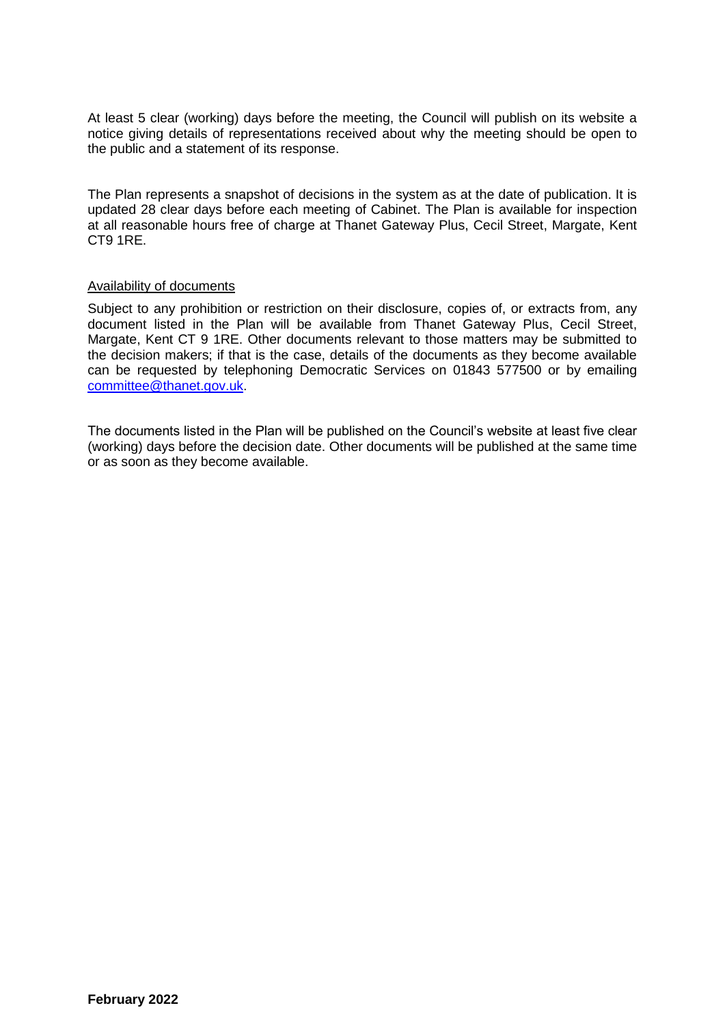At least 5 clear (working) days before the meeting, the Council will publish on its website a notice giving details of representations received about why the meeting should be open to the public and a statement of its response.

The Plan represents a snapshot of decisions in the system as at the date of publication. It is updated 28 clear days before each meeting of Cabinet. The Plan is available for inspection at all reasonable hours free of charge at Thanet Gateway Plus, Cecil Street, Margate, Kent CT9 1RE.

#### Availability of documents

Subject to any prohibition or restriction on their disclosure, copies of, or extracts from, any document listed in the Plan will be available from Thanet Gateway Plus, Cecil Street, Margate, Kent CT 9 1RE. Other documents relevant to those matters may be submitted to the decision makers; if that is the case, details of the documents as they become available can be requested by telephoning Democratic Services on 01843 577500 or by emailing [committee@thanet.gov.uk.](mailto:committee@thanet.gov.uk)

The documents listed in the Plan will be published on the Council's website at least five clear (working) days before the decision date. Other documents will be published at the same time or as soon as they become available.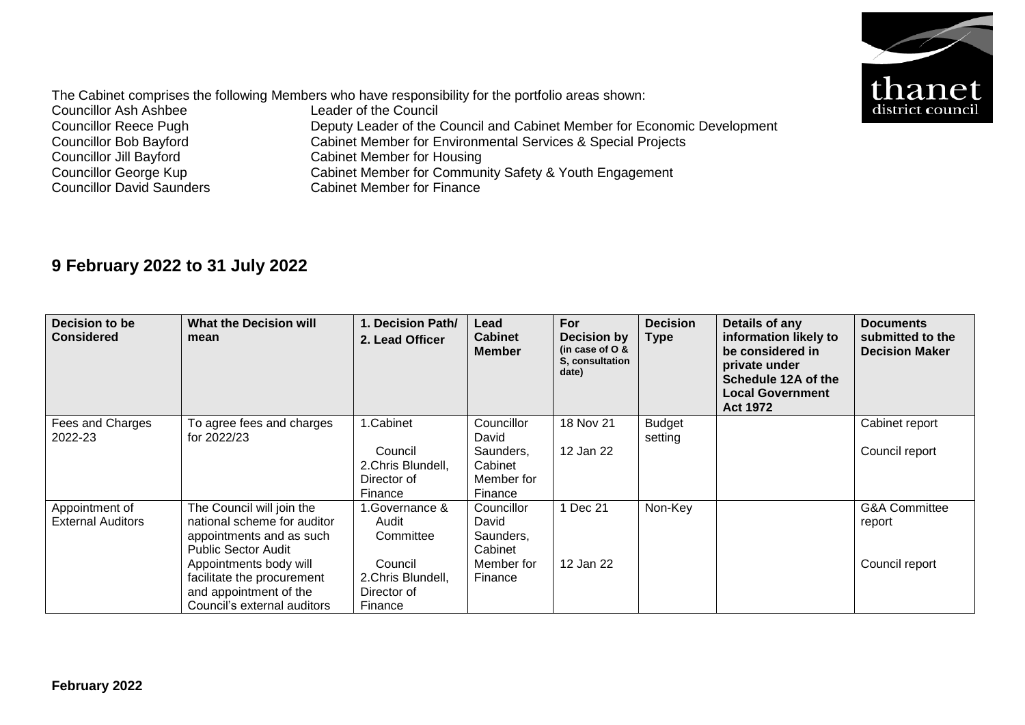

The Cabinet comprises the following Members who have responsibility for the portfolio areas shown:<br>Councillor Ash Ashbee Leader of the Council Councillor Ash Ashbee<br>Councillor Reece Pugh Councillor Reece Pugh Deputy Leader of the Council and Cabinet Member for Economic Development<br>Councillor Bob Bayford Cabinet Member for Environmental Services & Special Projects Councillor Bob Bayford<br>
Cabinet Member for Environmental Services & Special Projects<br>
Cabinet Member for Housing Councillor Jill Bayford<br>
Cabinet Member for Housing<br>
Councillor George Kup<br>
Cabinet Member for Commun Councillor George Kup<br>
Cabinet Member for Community Safety & Youth Engagement<br>
Councillor David Saunders<br>
Cabinet Member for Finance Cabinet Member for Finance

# **9 February 2022 to 31 July 2022**

| Decision to be<br><b>Considered</b>        | <b>What the Decision will</b><br>mean                                                                                                                                                                                               | 1. Decision Path/<br>2. Lead Officer                                                           | Lead<br><b>Cabinet</b><br><b>Member</b>                              | For<br>Decision by<br>(in case of $O$ &<br>S. consultation<br>date) | <b>Decision</b><br><b>Type</b> | Details of any<br>information likely to<br>be considered in<br>private under<br>Schedule 12A of the<br><b>Local Government</b><br><b>Act 1972</b> | <b>Documents</b><br>submitted to the<br><b>Decision Maker</b> |
|--------------------------------------------|-------------------------------------------------------------------------------------------------------------------------------------------------------------------------------------------------------------------------------------|------------------------------------------------------------------------------------------------|----------------------------------------------------------------------|---------------------------------------------------------------------|--------------------------------|---------------------------------------------------------------------------------------------------------------------------------------------------|---------------------------------------------------------------|
| Fees and Charges<br>2022-23                | To agree fees and charges<br>for 2022/23                                                                                                                                                                                            | 1.Cabinet<br>Council<br>2. Chris Blundell,<br>Director of<br>Finance                           | Councillor<br>David<br>Saunders,<br>Cabinet<br>Member for<br>Finance | 18 Nov 21<br>12 Jan 22                                              | <b>Budget</b><br>setting       |                                                                                                                                                   | Cabinet report<br>Council report                              |
| Appointment of<br><b>External Auditors</b> | The Council will join the<br>national scheme for auditor<br>appointments and as such<br><b>Public Sector Audit</b><br>Appointments body will<br>facilitate the procurement<br>and appointment of the<br>Council's external auditors | .Governance &<br>Audit<br>Committee<br>Council<br>2. Chris Blundell,<br>Director of<br>Finance | Councillor<br>David<br>Saunders,<br>Cabinet<br>Member for<br>Finance | 1 Dec 21<br>12 Jan 22                                               | Non-Key                        |                                                                                                                                                   | <b>G&amp;A Committee</b><br>report<br>Council report          |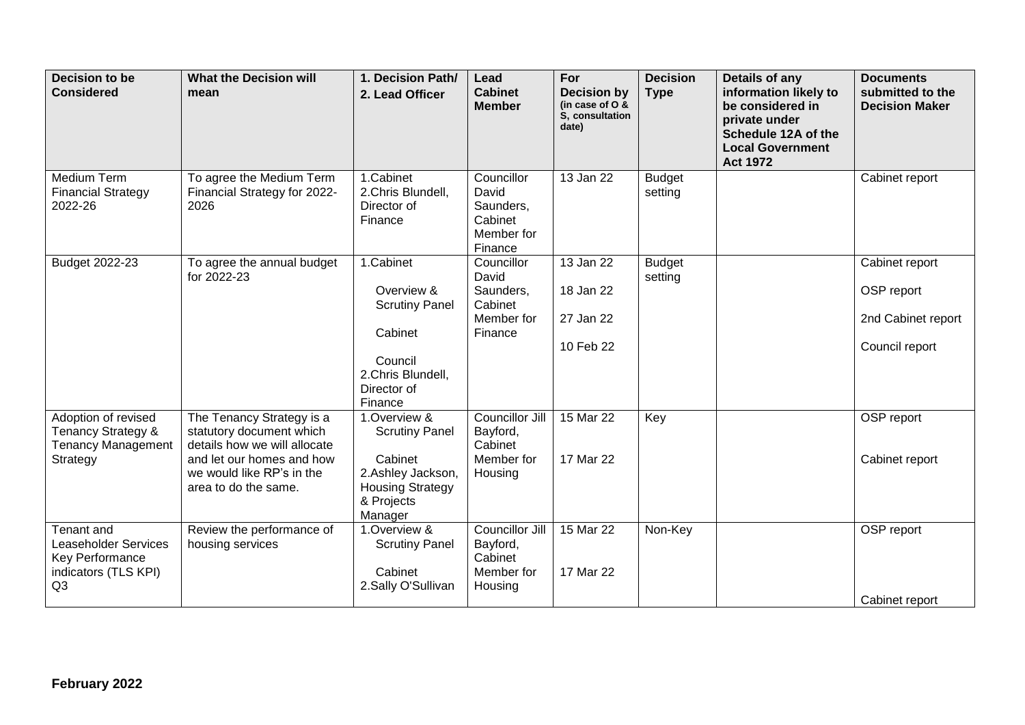| <b>Decision to be</b><br><b>Considered</b>                                                                    | <b>What the Decision will</b><br>mean                                                                                                                                   | 1. Decision Path/<br>2. Lead Officer                                                                                      | Lead<br><b>Cabinet</b><br><b>Member</b>                              | For<br><b>Decision by</b><br>(in case of O &<br>S, consultation<br>date) | <b>Decision</b><br><b>Type</b> | Details of any<br>information likely to<br>be considered in<br>private under<br>Schedule 12A of the<br><b>Local Government</b><br><b>Act 1972</b> | <b>Documents</b><br>submitted to the<br><b>Decision Maker</b>        |
|---------------------------------------------------------------------------------------------------------------|-------------------------------------------------------------------------------------------------------------------------------------------------------------------------|---------------------------------------------------------------------------------------------------------------------------|----------------------------------------------------------------------|--------------------------------------------------------------------------|--------------------------------|---------------------------------------------------------------------------------------------------------------------------------------------------|----------------------------------------------------------------------|
| Medium Term<br><b>Financial Strategy</b><br>2022-26                                                           | To agree the Medium Term<br>Financial Strategy for 2022-<br>2026                                                                                                        | 1.Cabinet<br>2.Chris Blundell,<br>Director of<br>Finance                                                                  | Councillor<br>David<br>Saunders,<br>Cabinet<br>Member for<br>Finance | 13 Jan 22                                                                | <b>Budget</b><br>setting       |                                                                                                                                                   | Cabinet report                                                       |
| Budget 2022-23                                                                                                | To agree the annual budget<br>for 2022-23                                                                                                                               | 1.Cabinet<br>Overview &<br><b>Scrutiny Panel</b><br>Cabinet<br>Council<br>2.Chris Blundell,<br>Director of<br>Finance     | Councillor<br>David<br>Saunders,<br>Cabinet<br>Member for<br>Finance | 13 Jan 22<br>18 Jan 22<br>27 Jan 22<br>10 Feb 22                         | <b>Budget</b><br>setting       |                                                                                                                                                   | Cabinet report<br>OSP report<br>2nd Cabinet report<br>Council report |
| Adoption of revised<br>Tenancy Strategy &<br><b>Tenancy Management</b><br>Strategy                            | The Tenancy Strategy is a<br>statutory document which<br>details how we will allocate<br>and let our homes and how<br>we would like RP's in the<br>area to do the same. | 1.Overview &<br><b>Scrutiny Panel</b><br>Cabinet<br>2.Ashley Jackson,<br><b>Housing Strategy</b><br>& Projects<br>Manager | Councillor Jill<br>Bayford,<br>Cabinet<br>Member for<br>Housing      | 15 Mar 22<br>17 Mar 22                                                   | Key                            |                                                                                                                                                   | OSP report<br>Cabinet report                                         |
| Tenant and<br><b>Leaseholder Services</b><br><b>Key Performance</b><br>indicators (TLS KPI)<br>Q <sub>3</sub> | Review the performance of<br>housing services                                                                                                                           | 1.Overview &<br><b>Scrutiny Panel</b><br>Cabinet<br>2.Sally O'Sullivan                                                    | Councillor Jill<br>Bayford,<br>Cabinet<br>Member for<br>Housing      | 15 Mar 22<br>17 Mar 22                                                   | Non-Key                        |                                                                                                                                                   | OSP report<br>Cabinet report                                         |